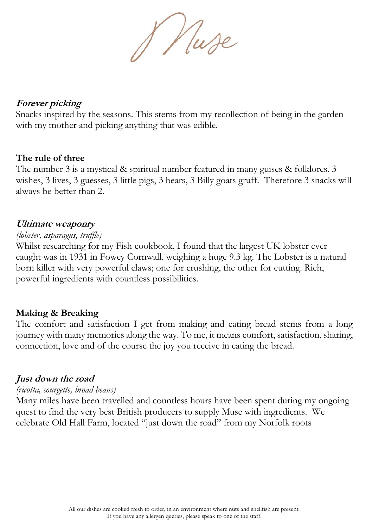& Nuse

# **Forever picking**

Snacks inspired by the seasons. This stems from my recollection of being in the garden with my mother and picking anything that was edible.

## **The rule of three**

The number 3 is a mystical & spiritual number featured in many guises & folklores. 3 wishes, 3 lives, 3 guesses, 3 little pigs, 3 bears, 3 Billy goats gruff. Therefore 3 snacks will always be better than 2.

## **Ultimate weaponry**

# *(lobster, asparagus, truffle)*

Whilst researching for my Fish cookbook, I found that the largest UK lobster ever caught was in 1931 in Fowey Cornwall, weighing a huge 9.3 kg. The Lobster is a natural born killer with very powerful claws; one for crushing, the other for cutting. Rich, powerful ingredients with countless possibilities.

# **Making & Breaking**

The comfort and satisfaction I get from making and eating bread stems from a long journey with many memories along the way. To me, it means comfort, satisfaction, sharing, connection, love and of the course the joy you receive in eating the bread.

# **Just down the road**

#### *(ricotta, courgette, broad beans)*

Many miles have been travelled and countless hours have been spent during my ongoing quest to find the very best British producers to supply Muse with ingredients. We celebrate Old Hall Farm, located "just down the road" from my Norfolk roots